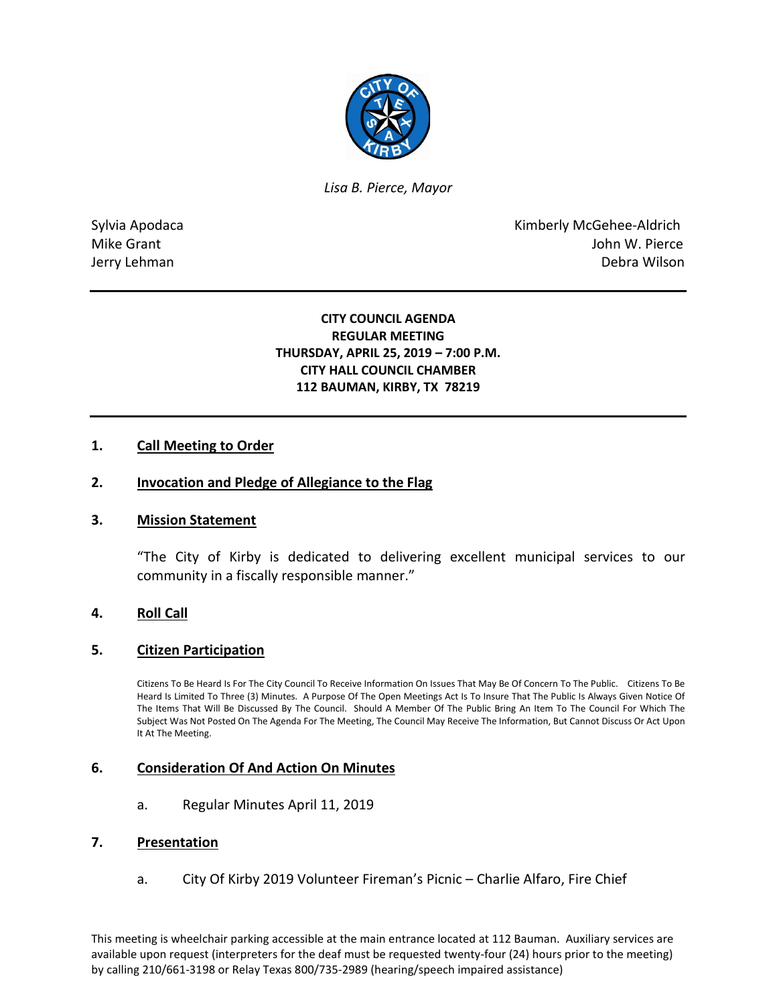

*Lisa B. Pierce, Mayor* 

Sylvia Apodaca **Kimberly McGehee-Aldrich** Mike Grant **Mike Grant** John W. Pierce Jerry Lehman Debra Wilson

# **CITY COUNCIL AGENDA REGULAR MEETING THURSDAY, APRIL 25, 2019 – 7:00 P.M. CITY HALL COUNCIL CHAMBER 112 BAUMAN, KIRBY, TX 78219**

# **1. Call Meeting to Order**

## **2. Invocation and Pledge of Allegiance to the Flag**

## **3. Mission Statement**

"The City of Kirby is dedicated to delivering excellent municipal services to our community in a fiscally responsible manner."

## **4. Roll Call**

## **5. Citizen Participation**

Citizens To Be Heard Is For The City Council To Receive Information On Issues That May Be Of Concern To The Public. Citizens To Be Heard Is Limited To Three (3) Minutes. A Purpose Of The Open Meetings Act Is To Insure That The Public Is Always Given Notice Of The Items That Will Be Discussed By The Council. Should A Member Of The Public Bring An Item To The Council For Which The Subject Was Not Posted On The Agenda For The Meeting, The Council May Receive The Information, But Cannot Discuss Or Act Upon It At The Meeting.

## **6. Consideration Of And Action On Minutes**

a. Regular Minutes April 11, 2019

#### **7. Presentation**

a. City Of Kirby 2019 Volunteer Fireman's Picnic – Charlie Alfaro, Fire Chief

This meeting is wheelchair parking accessible at the main entrance located at 112 Bauman. Auxiliary services are available upon request (interpreters for the deaf must be requested twenty-four (24) hours prior to the meeting) by calling 210/661-3198 or Relay Texas 800/735-2989 (hearing/speech impaired assistance)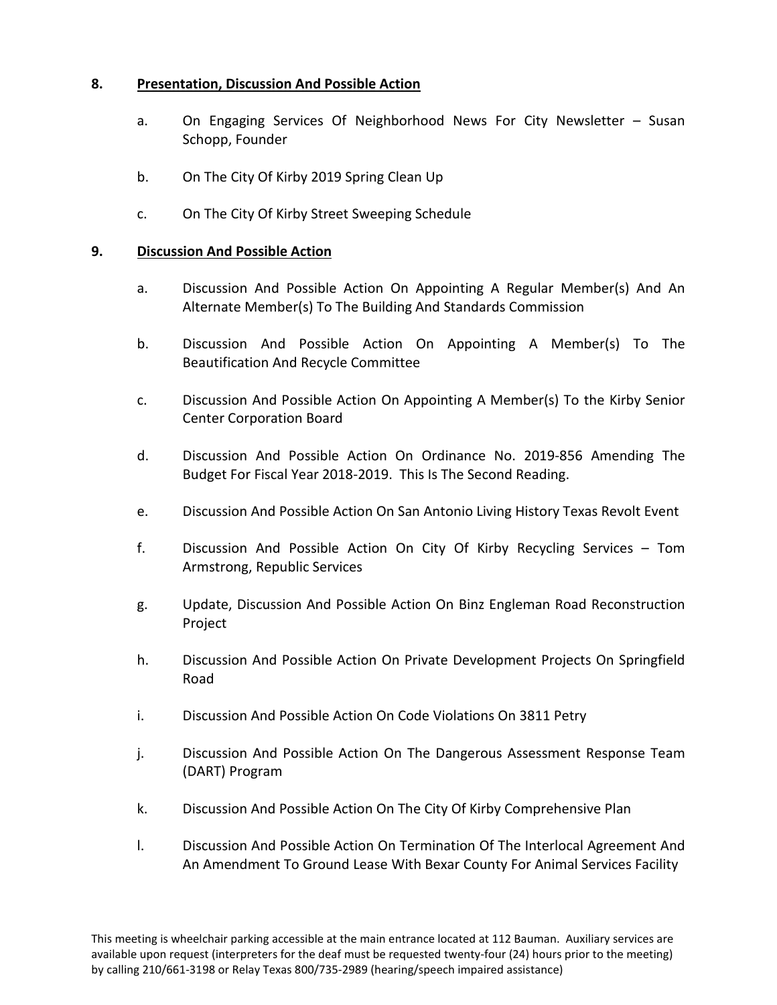# **8. Presentation, Discussion And Possible Action**

- a. On Engaging Services Of Neighborhood News For City Newsletter Susan Schopp, Founder
- b. On The City Of Kirby 2019 Spring Clean Up
- c. On The City Of Kirby Street Sweeping Schedule

# **9. Discussion And Possible Action**

- a. Discussion And Possible Action On Appointing A Regular Member(s) And An Alternate Member(s) To The Building And Standards Commission
- b. Discussion And Possible Action On Appointing A Member(s) To The Beautification And Recycle Committee
- c. Discussion And Possible Action On Appointing A Member(s) To the Kirby Senior Center Corporation Board
- d. Discussion And Possible Action On Ordinance No. 2019-856 Amending The Budget For Fiscal Year 2018-2019. This Is The Second Reading.
- e. Discussion And Possible Action On San Antonio Living History Texas Revolt Event
- f. Discussion And Possible Action On City Of Kirby Recycling Services Tom Armstrong, Republic Services
- g. Update, Discussion And Possible Action On Binz Engleman Road Reconstruction Project
- h. Discussion And Possible Action On Private Development Projects On Springfield Road
- i. Discussion And Possible Action On Code Violations On 3811 Petry
- j. Discussion And Possible Action On The Dangerous Assessment Response Team (DART) Program
- k. Discussion And Possible Action On The City Of Kirby Comprehensive Plan
- l. Discussion And Possible Action On Termination Of The Interlocal Agreement And An Amendment To Ground Lease With Bexar County For Animal Services Facility